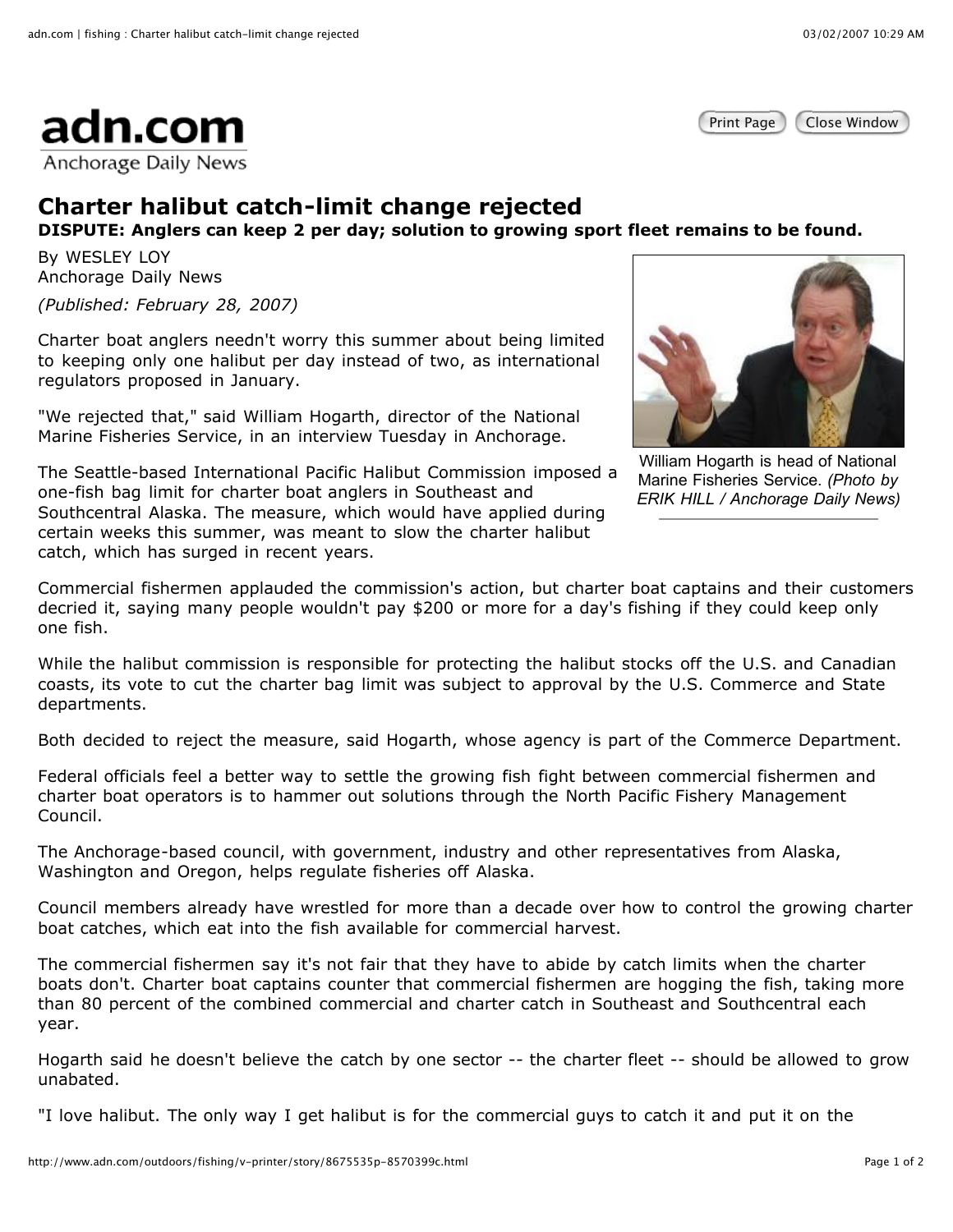



## **Charter halibut catch-limit change rejected**

**DISPUTE: Anglers can keep 2 per day; solution to growing sport fleet remains to be found.**

By WESLEY LOY Anchorage Daily News

*(Published: February 28, 2007)*

Charter boat anglers needn't worry this summer about being limited to keeping only one halibut per day instead of two, as international regulators proposed in January.

"We rejected that," said William Hogarth, director of the National Marine Fisheries Service, in an interview Tuesday in Anchorage.

The Seattle-based International Pacific Halibut Commission imposed a one-fish bag limit for charter boat anglers in Southeast and Southcentral Alaska. The measure, which would have applied during certain weeks this summer, was meant to slow the charter halibut catch, which has surged in recent years.



William Hogarth is head of National Marine Fisheries Service. *(Photo by ERIK HILL / Anchorage Daily News)*

Commercial fishermen applauded the commission's action, but charter boat captains and their customers decried it, saying many people wouldn't pay \$200 or more for a day's fishing if they could keep only one fish.

While the halibut commission is responsible for protecting the halibut stocks off the U.S. and Canadian coasts, its vote to cut the charter bag limit was subject to approval by the U.S. Commerce and State departments.

Both decided to reject the measure, said Hogarth, whose agency is part of the Commerce Department.

Federal officials feel a better way to settle the growing fish fight between commercial fishermen and charter boat operators is to hammer out solutions through the North Pacific Fishery Management Council.

The Anchorage-based council, with government, industry and other representatives from Alaska, Washington and Oregon, helps regulate fisheries off Alaska.

Council members already have wrestled for more than a decade over how to control the growing charter boat catches, which eat into the fish available for commercial harvest.

The commercial fishermen say it's not fair that they have to abide by catch limits when the charter boats don't. Charter boat captains counter that commercial fishermen are hogging the fish, taking more than 80 percent of the combined commercial and charter catch in Southeast and Southcentral each year.

Hogarth said he doesn't believe the catch by one sector -- the charter fleet -- should be allowed to grow unabated.

"I love halibut. The only way I get halibut is for the commercial guys to catch it and put it on the